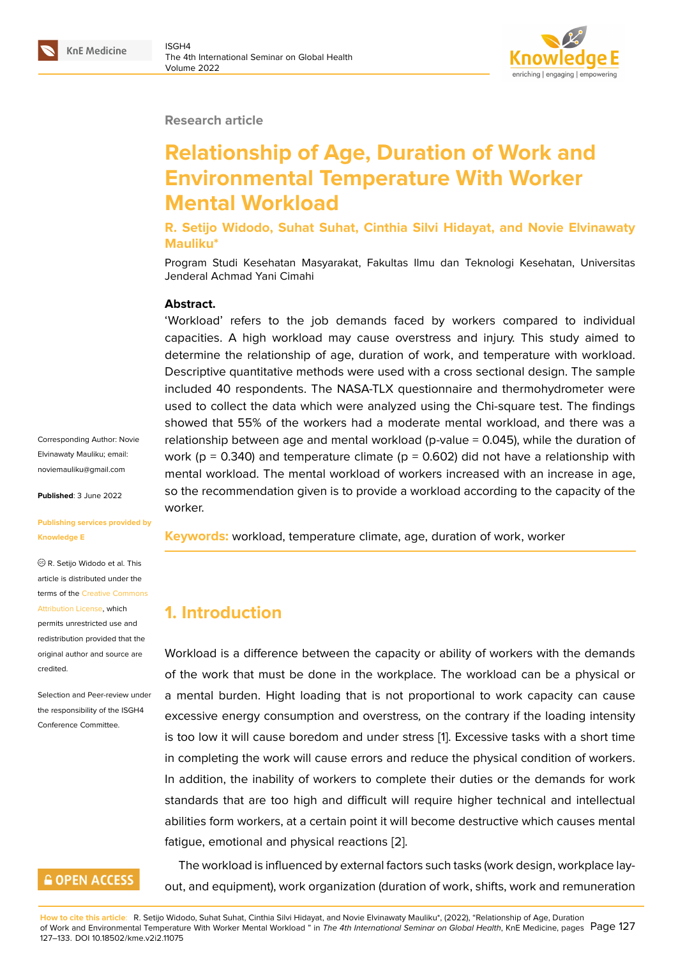#### **Research article**

# **Relationship of Age, Duration of Work and Environmental Temperature With Worker Mental Workload**

**R. Setijo Widodo, Suhat Suhat, Cinthia Silvi Hidayat, and Novie Elvinawaty Mauliku\***

Program Studi Kesehatan Masyarakat, Fakultas Ilmu dan Teknologi Kesehatan, Universitas Jenderal Achmad Yani Cimahi

#### **Abstract.**

'Workload' refers to the job demands faced by workers compared to individual capacities. A high workload may cause overstress and injury. This study aimed to determine the relationship of age, duration of work, and temperature with workload. Descriptive quantitative methods were used with a cross sectional design. The sample included 40 respondents. The NASA-TLX questionnaire and thermohydrometer were used to collect the data which were analyzed using the Chi-square test. The findings showed that 55% of the workers had a moderate mental workload, and there was a relationship between age and mental workload (p-value  $= 0.045$ ), while the duration of work ( $p = 0.340$ ) and temperature climate ( $p = 0.602$ ) did not have a relationship with mental workload. The mental workload of workers increased with an increase in age, so the recommendation given is to provide a workload according to the capacity of the worker.

**Keywords:** workload, temperature climate, age, duration of work, worker

# **1. Introduction**

Workload is a difference between the capacity or ability of workers with the demands of the work that must be done in the workplace. The workload can be a physical or a mental burden. Hight loading that is not proportional to work capacity can cause excessive energy consumption and overstress*,* on the contrary if the loading intensity is too low it will cause boredom and under stress [1]. Excessive tasks with a short time in completing the work will cause errors and reduce the physical condition of workers. In addition, the inability of workers to complete their duties or the demands for work standards that are too high and difficult will requ[ir](#page-5-0)e higher technical and intellectual abilities form workers, at a certain point it will become destructive which causes mental fatigue, emotional and physical reactions [2].

The workload is influenced by external factors such tasks (work design, workplace layout, and equipment), work organization (d[ura](#page-5-1)tion of work, shifts, work and remuneration

Corresponding Author: Novie Elvinawaty Mauliku; email: noviemauliku@gmail.com

**Published**: 3 June 2022

#### **[Publishing services provi](mailto:noviemauliku@gmail.com)ded by Knowledge E**

R. Setijo Widodo et al. This article is distributed under the terms of the Creative Commons Attribution License, which

permits unrestricted use and redistribution provided that the original auth[or and source are](https://creativecommons.org/licenses/by/4.0/) [credited.](https://creativecommons.org/licenses/by/4.0/)

Selection and Peer-review under the responsibility of the ISGH4 Conference Committee.

# **GOPEN ACCESS**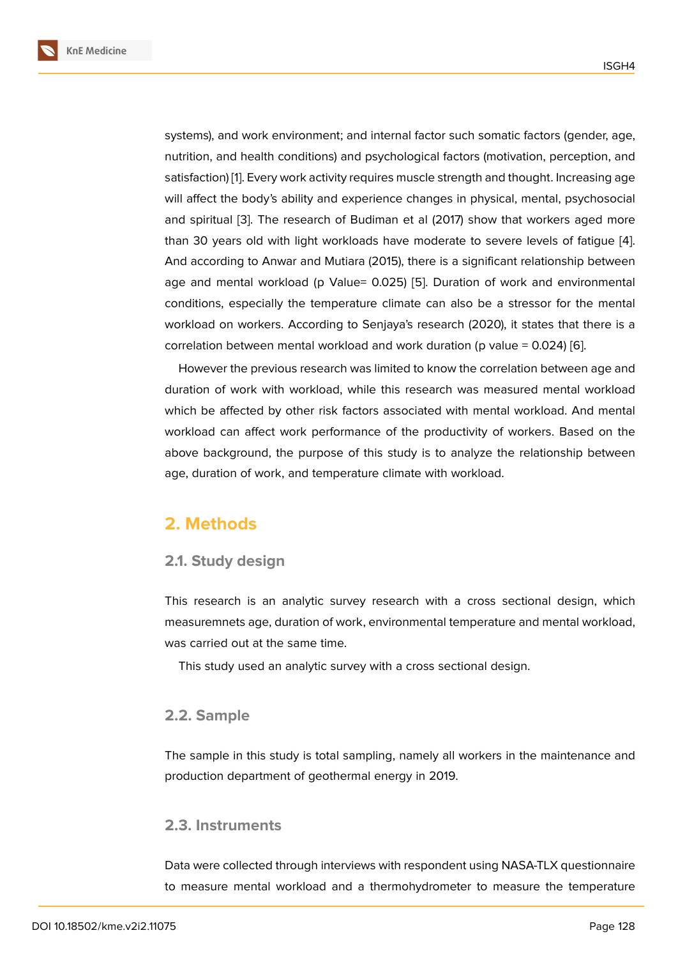systems), and work environment; and internal factor such somatic factors (gender, age, nutrition, and health conditions) and psychological factors (motivation, perception, and satisfaction) [1]. Every work activity requires muscle strength and thought. Increasing age will affect the body's ability and experience changes in physical, mental, psychosocial and spiritual [3]. The research of Budiman et al (2017) show that workers aged more than 30 yea[rs](#page-5-0) old with light workloads have moderate to severe levels of fatigue [4]. And according to Anwar and Mutiara (2015), there is a significant relationship between age and me[nta](#page-5-2)l workload (p Value= 0.025) [5]. Duration of work and environmental conditions, especially the temperature climate can also be a stressor for the men[ta](#page-5-3)l workload on workers. According to Senjaya's research (2020), it states that there is a correlation between mental wo[rk](#page-5-4)load and work duration (p value =  $0.024$ ) [6].

However the previous research was limited to know the correlation between age and duration of work with workload, while this research was measured mental workload which be affected by other risk factors associated with mental workload. [An](#page-5-5)d mental workload can affect work performance of the productivity of workers. Based on the above background, the purpose of this study is to analyze the relationship between age, duration of work, and temperature climate with workload.

# **2. Methods**

### **2.1. Study design**

This research is an analytic survey research with a cross sectional design, which measuremnets age, duration of work, environmental temperature and mental workload, was carried out at the same time.

This study used an analytic survey with a cross sectional design.

## **2.2. Sample**

The sample in this study is total sampling, namely all workers in the maintenance and production department of geothermal energy in 2019.

## **2.3. Instruments**

Data were collected through interviews with respondent using NASA-TLX questionnaire to measure mental workload and a thermohydrometer to measure the temperature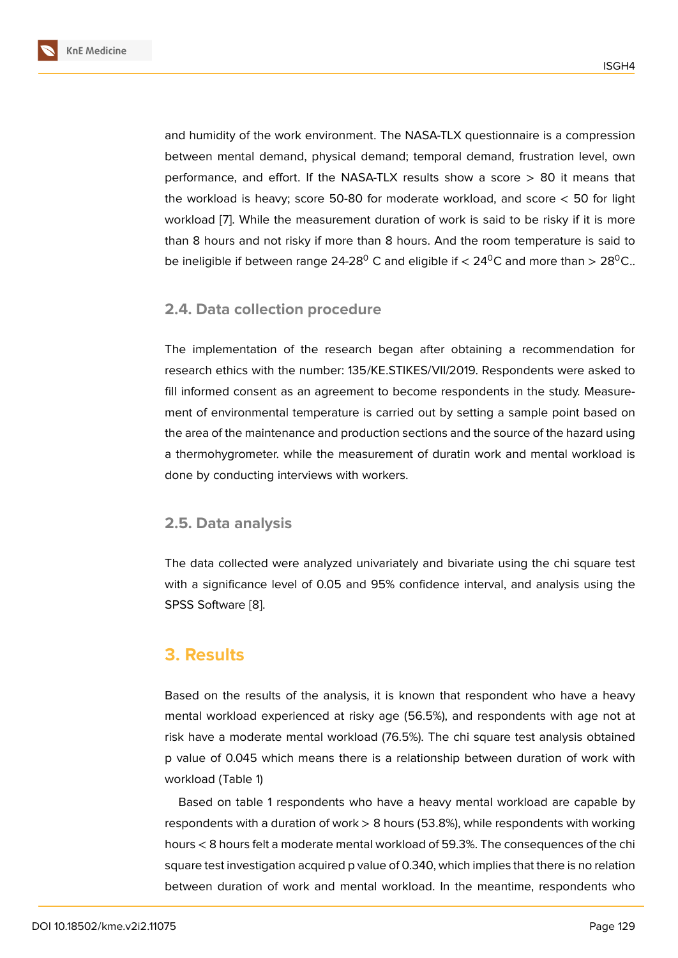and humidity of the work environment. The NASA-TLX questionnaire is a compression between mental demand, physical demand; temporal demand, frustration level, own performance, and effort. If the NASA-TLX results show a score  $> 80$  it means that the workload is heavy; score 50-80 for moderate workload, and score  $<$  50 for light workload [7]. While the measurement duration of work is said to be risky if it is more than 8 hours and not risky if more than 8 hours. And the room temperature is said to be ineligible if between range 24-28<sup>0</sup> C and eligible if  $<$  24<sup>0</sup>C and more than > 28<sup>0</sup>C..

### **2.4. Data collection procedure**

The implementation of the research began after obtaining a recommendation for research ethics with the number: 135/KE.STIKES/VII/2019. Respondents were asked to fill informed consent as an agreement to become respondents in the study. Measurement of environmental temperature is carried out by setting a sample point based on the area of the maintenance and production sections and the source of the hazard using a thermohygrometer. while the measurement of duratin work and mental workload is done by conducting interviews with workers.

### **2.5. Data analysis**

The data collected were analyzed univariately and bivariate using the chi square test with a significance level of 0.05 and 95% confidence interval, and analysis using the SPSS Software [8].

# **3. Results**

Based on the results of the analysis, it is known that respondent who have a heavy mental workload experienced at risky age (56.5%), and respondents with age not at risk have a moderate mental workload (76.5%). The chi square test analysis obtained p value of 0.045 which means there is a relationship between duration of work with workload (Table 1)

Based on table 1 respondents who have a heavy mental workload are capable by respondents with a duration of work > 8 hours (53.8%), while respondents with working hours < 8 hours felt a moderate mental workload of 59.3%. The consequences of the chi square test investigation acquired p value of 0.340, which implies that there is no relation between duration of work and mental workload. In the meantime, respondents who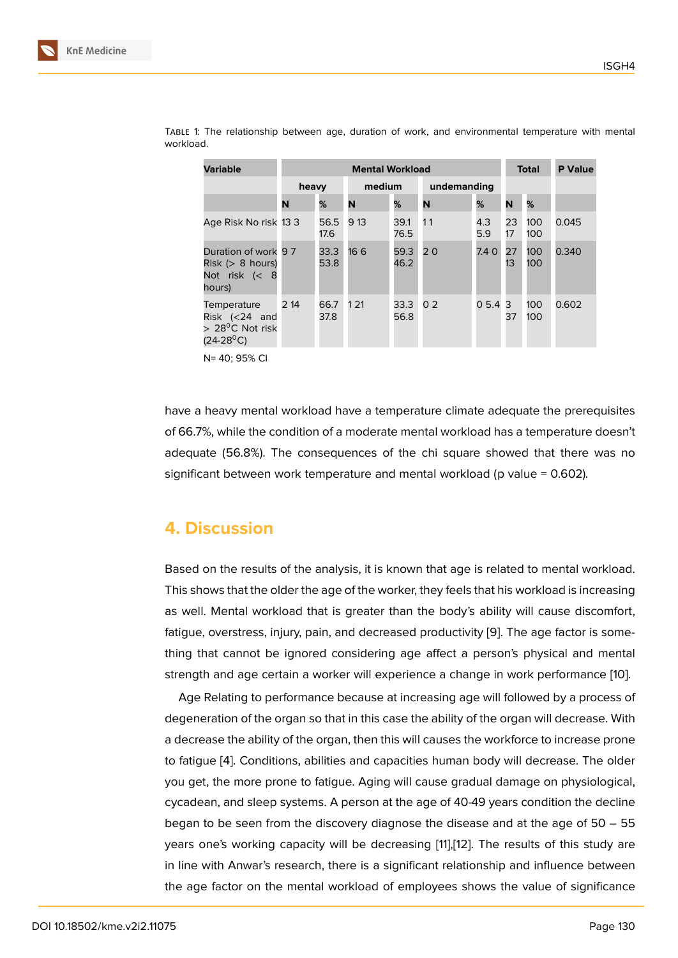| <b>Variable</b>                                                                            | <b>Mental Workload</b> |              |        |              |                |            | Total    |            | <b>P</b> Value |
|--------------------------------------------------------------------------------------------|------------------------|--------------|--------|--------------|----------------|------------|----------|------------|----------------|
|                                                                                            | heavy                  |              | medium |              | undemanding    |            |          |            |                |
|                                                                                            | N                      | %            | N      | %            | N              | %          | N        | %          |                |
| Age Risk No risk 13 3                                                                      |                        | 56.5<br>17.6 | 9 13   | 39.1<br>76.5 | 11             | 4.3<br>5.9 | 23<br>17 | 100<br>100 | 0.045          |
| Duration of work 97<br>$Risk \; (> 8 \; hours)$<br>Not risk $\left( < 8 \right)$<br>hours) |                        | 33.3<br>53.8 | 16 6   | 59.3<br>46.2 | 20             | 7.4 0      | 27<br>13 | 100<br>100 | 0.340          |
| Temperature<br>Risk $(24$ and<br>$> 28^{\circ}$ C Not risk<br>$(24-28^{\circ}C)$           | 2 14                   | 66.7<br>37.8 | 1 2 1  | 33.3<br>56.8 | 0 <sub>2</sub> | 0,5.4,3    | 37       | 100<br>100 | 0.602          |

Table 1: The relationship between age, duration of work, and environmental temperature with mental workload.

N= 40; 95% CI

have a heavy mental workload have a temperature climate adequate the prerequisites of 66.7%, while the condition of a moderate mental workload has a temperature doesn't adequate (56.8%). The consequences of the chi square showed that there was no significant between work temperature and mental workload (p value = 0.602).

## **4. Discussion**

Based on the results of the analysis, it is known that age is related to mental workload. This shows that the older the age of the worker, they feels that his workload is increasing as well. Mental workload that is greater than the body's ability will cause discomfort, fatigue, overstress, injury, pain, and decreased productivity [9]. The age factor is something that cannot be ignored considering age affect a person's physical and mental strength and age certain a worker will experience a change in work performance [10].

Age Relating to performance because at increasing age [wil](#page-5-6)l followed by a process of degeneration of the organ so that in this case the ability of the organ will decrease. With a decrease the ability of the organ, then this will causes the workforce to increase p[ron](#page-5-7)e to fatigue [4]. Conditions, abilities and capacities human body will decrease. The older you get, the more prone to fatigue. Aging will cause gradual damage on physiological, cycadean, and sleep systems. A person at the age of 40-49 years condition the decline began to [be](#page-5-3) seen from the discovery diagnose the disease and at the age of 50 – 55 years one's working capacity will be decreasing [11],[12]. The results of this study are in line with Anwar's research, there is a significant relationship and influence between the age factor on the mental workload of employees shows the value of significance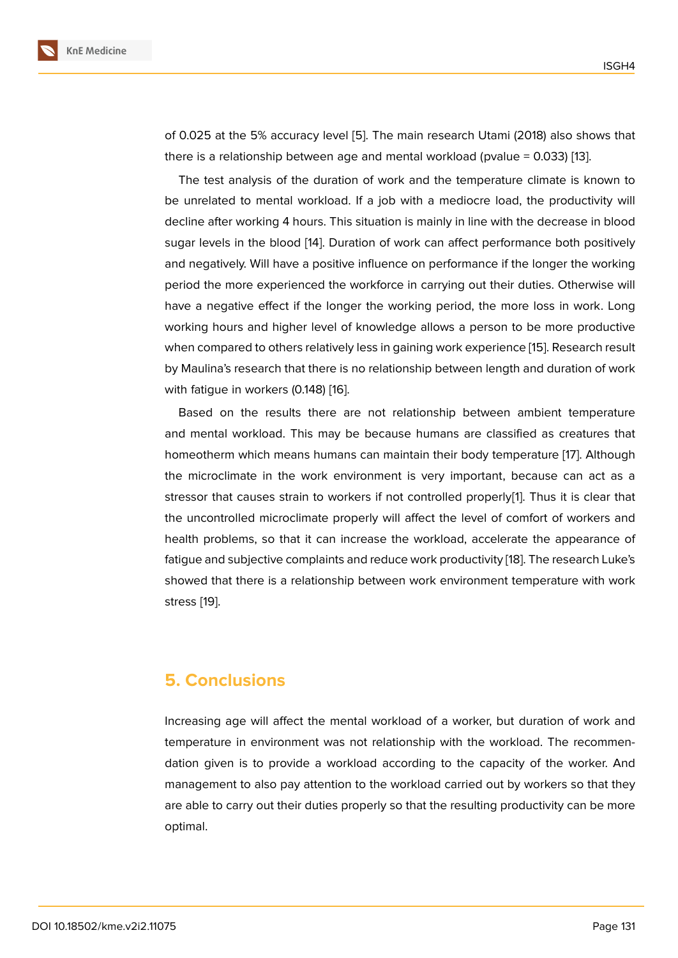of 0.025 at the 5% accuracy level [5]. The main research Utami (2018) also shows that there is a relationship between age and mental workload (pvalue = 0.033) [13].

The test analysis of the duration of work and the temperature climate is known to be unrelated to mental workload. [If](#page-5-4) a job with a mediocre load, the productivity will decline after working 4 hours. This situation is mainly in line with the decre[ase](#page-5-8) in blood sugar levels in the blood [14]. Duration of work can affect performance both positively and negatively. Will have a positive influence on performance if the longer the working period the more experienced the workforce in carrying out their duties. Otherwise will have a negative effect if t[he](#page-5-9) longer the working period, the more loss in work. Long working hours and higher level of knowledge allows a person to be more productive when compared to others relatively less in gaining work experience [15]. Research result by Maulina's research that there is no relationship between length and duration of work with fatigue in workers (0.148) [16].

Based on the results there are not relationship between a[mbi](#page-6-0)ent temperature and mental workload. This may be because humans are classified as creatures that homeotherm which means hu[ma](#page-6-1)ns can maintain their body temperature [17]. Although the microclimate in the work environment is very important, because can act as a stressor that causes strain to workers if not controlled properly[1]. Thus it is clear that the uncontrolled microclimate properly will affect the level of comfort of [w](#page-6-2)orkers and health problems, so that it can increase the workload, accelerate the appearance of fatigue and subjective complaints and reduce work productivity [1[8](#page-5-0)]. The research Luke's showed that there is a relationship between work environment temperature with work stress [19].

# **5. Conclusions**

Increasing age will affect the mental workload of a worker, but duration of work and temperature in environment was not relationship with the workload. The recommendation given is to provide a workload according to the capacity of the worker. And management to also pay attention to the workload carried out by workers so that they are able to carry out their duties properly so that the resulting productivity can be more optimal.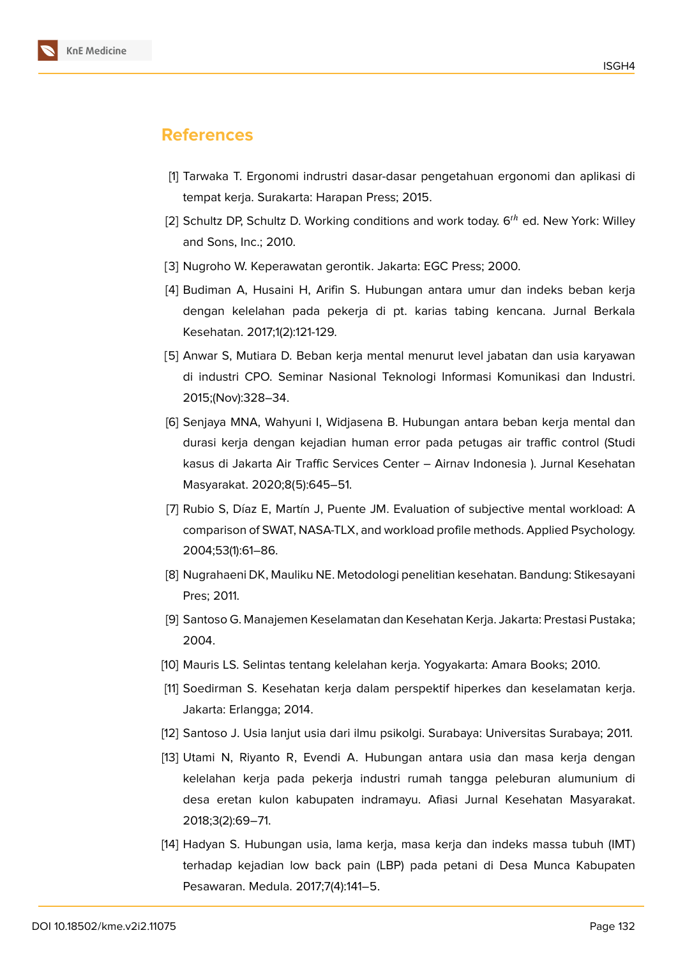

# **References**

- <span id="page-5-0"></span>[1] Tarwaka T. Ergonomi indrustri dasar-dasar pengetahuan ergonomi dan aplikasi di tempat kerja. Surakarta: Harapan Press; 2015.
- <span id="page-5-1"></span>[2] Schultz DP, Schultz D. Working conditions and work today.  $6<sup>th</sup>$  ed. New York: Willey and Sons, Inc.; 2010.
- <span id="page-5-2"></span>[3] Nugroho W. Keperawatan gerontik. Jakarta: EGC Press; 2000.
- <span id="page-5-3"></span>[4] Budiman A, Husaini H, Arifin S. Hubungan antara umur dan indeks beban kerja dengan kelelahan pada pekerja di pt. karias tabing kencana. Jurnal Berkala Kesehatan. 2017;1(2):121-129.
- <span id="page-5-4"></span>[5] Anwar S, Mutiara D. Beban kerja mental menurut level jabatan dan usia karyawan di industri CPO. Seminar Nasional Teknologi Informasi Komunikasi dan Industri. 2015;(Nov):328–34.
- <span id="page-5-5"></span>[6] Senjaya MNA, Wahyuni I, Widjasena B. Hubungan antara beban kerja mental dan durasi kerja dengan kejadian human error pada petugas air traffic control (Studi kasus di Jakarta Air Traffic Services Center – Airnav Indonesia ). Jurnal Kesehatan Masyarakat. 2020;8(5):645–51.
- [7] Rubio S, Díaz E, Martín J, Puente JM. Evaluation of subjective mental workload: A comparison of SWAT, NASA-TLX, and workload profile methods. Applied Psychology. 2004;53(1):61–86.
- [8] Nugrahaeni DK, Mauliku NE. Metodologi penelitian kesehatan. Bandung: Stikesayani Pres; 2011.
- <span id="page-5-6"></span>[9] Santoso G. Manajemen Keselamatan dan Kesehatan Kerja. Jakarta: Prestasi Pustaka; 2004.
- <span id="page-5-7"></span>[10] Mauris LS. Selintas tentang kelelahan kerja. Yogyakarta: Amara Books; 2010.
- [11] Soedirman S. Kesehatan kerja dalam perspektif hiperkes dan keselamatan kerja. Jakarta: Erlangga; 2014.
- [12] Santoso J. Usia lanjut usia dari ilmu psikolgi. Surabaya: Universitas Surabaya; 2011.
- <span id="page-5-8"></span>[13] Utami N, Riyanto R, Evendi A. Hubungan antara usia dan masa kerja dengan kelelahan kerja pada pekerja industri rumah tangga peleburan alumunium di desa eretan kulon kabupaten indramayu. Afiasi Jurnal Kesehatan Masyarakat. 2018;3(2):69–71.
- <span id="page-5-9"></span>[14] Hadyan S. Hubungan usia, lama kerja, masa kerja dan indeks massa tubuh (IMT) terhadap kejadian low back pain (LBP) pada petani di Desa Munca Kabupaten Pesawaran. Medula. 2017;7(4):141–5.